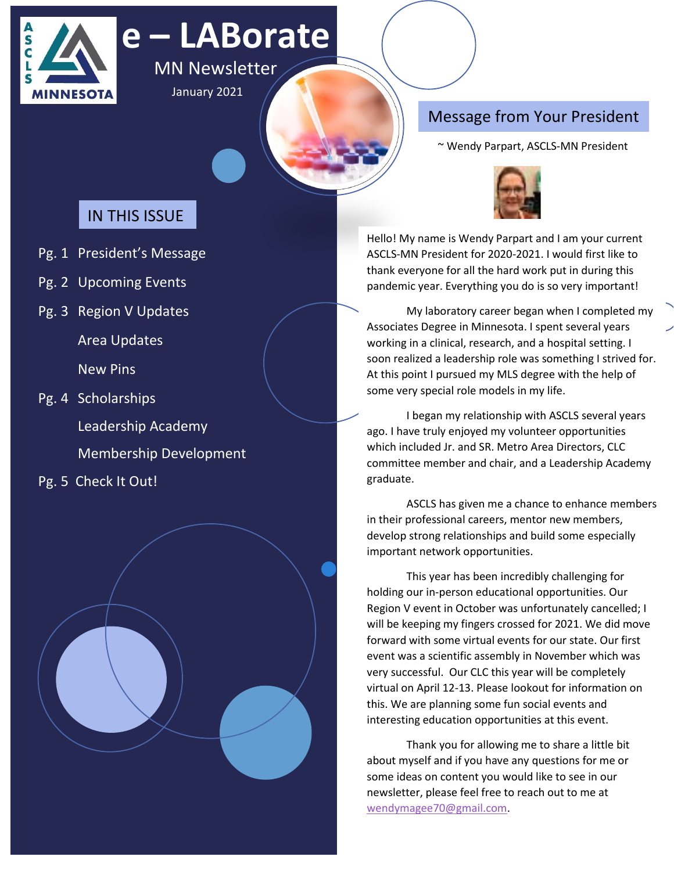

# **e – LABorate**

MN Newsletter January 2021

# Message from Your President

~ Wendy Parpart, ASCLS-MN President

# IN THIS ISSUE

- Pg. 1 President's Message
- Pg. 2 Upcoming Events
- Pg. 3 Region V Updates

Area Updates

New Pins

Pg. 4 Scholarships

Leadership Academy

Membership Development

Pg. 5 Check It Out!





Hello! My name is Wendy Parpart and I am your current ASCLS-MN President for 2020-2021. I would first like to thank everyone for all the hard work put in during this pandemic year. Everything you do is so very important!

My laboratory career began when I completed my Associates Degree in Minnesota. I spent several years working in a clinical, research, and a hospital setting. I soon realized a leadership role was something I strived for. At this point I pursued my MLS degree with the help of some very special role models in my life.

I began my relationship with ASCLS several years ago. I have truly enjoyed my volunteer opportunities which included Jr. and SR. Metro Area Directors, CLC committee member and chair, and a Leadership Academy graduate.

ASCLS has given me a chance to enhance members in their professional careers, mentor new members, develop strong relationships and build some especially important network opportunities.

This year has been incredibly challenging for holding our in-person educational opportunities. Our Region V event in October was unfortunately cancelled; I will be keeping my fingers crossed for 2021. We did move forward with some virtual events for our state. Our first event was a scientific assembly in November which was very successful. Our CLC this year will be completely virtual on April 12-13. Please lookout for information on this. We are planning some fun social events and interesting education opportunities at this event.

Thank you for allowing me to share a little bit about myself and if you have any questions for me or some ideas on content you would like to see in our newsletter, please feel free to reach out to me at [wendymagee70@gmail.com.](mailto:wendymagee70@gmail.com)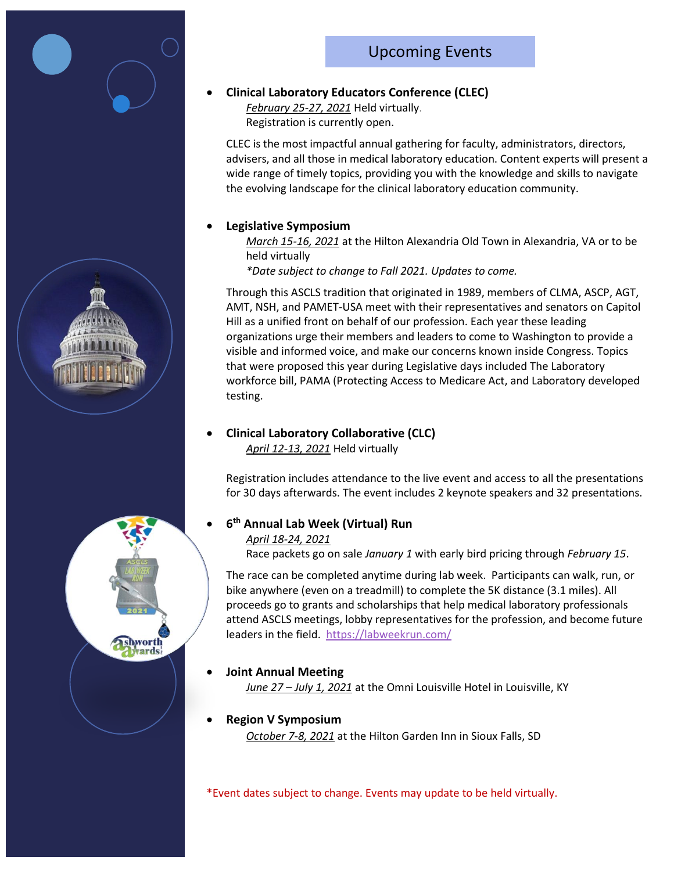# Upcoming Events



#### • **Clinical Laboratory Educators Conference (CLEC)**

*February 25-27, 2021* Held virtually. Registration is currently open.

CLEC is the most impactful annual gathering for faculty, administrators, directors, advisers, and all those in medical laboratory education. Content experts will present a wide range of timely topics, providing you with the knowledge and skills to navigate the evolving landscape for the clinical laboratory education community.

#### • **Legislative Symposium**

*March 15-16, 2021* at the Hilton Alexandria Old Town in Alexandria, VA or to be held virtually

*\*Date subject to change to Fall 2021. Updates to come.* 

Through this ASCLS tradition that originated in 1989, members of CLMA, ASCP, AGT, AMT, NSH, and PAMET-USA meet with their representatives and senators on Capitol Hill as a unified front on behalf of our profession. Each year these leading organizations urge their members and leaders to come to Washington to provide a visible and informed voice, and make our concerns known inside Congress. Topics that were proposed this year during Legislative days included The Laboratory workforce bill, PAMA (Protecting Access to Medicare Act, and Laboratory developed testing.

#### • **Clinical Laboratory Collaborative (CLC)**

*April 12-13, 2021* Held virtually

Registration includes attendance to the live event and access to all the presentations for 30 days afterwards. The event includes 2 keynote speakers and 32 presentations.

### • **6 th Annual Lab Week (Virtual) Run**

#### *April 18-24, 2021*

Race packets go on sale *January 1* with early bird pricing through *February 15*.

The race can be completed anytime during lab week. Participants can walk, run, or bike anywhere (even on a treadmill) to complete the 5K distance (3.1 miles). All proceeds go to grants and scholarships that help medical laboratory professionals attend ASCLS meetings, lobby representatives for the profession, and become future leaders in the field.<https://labweekrun.com/>

#### • **Joint Annual Meeting**

*June 27 – July 1, 2021* at the Omni Louisville Hotel in Louisville, KY

#### • **Region V Symposium**

*October 7-8, 2021* at the Hilton Garden Inn in Sioux Falls, SD

\*Event dates subject to change. Events may update to be held virtually.

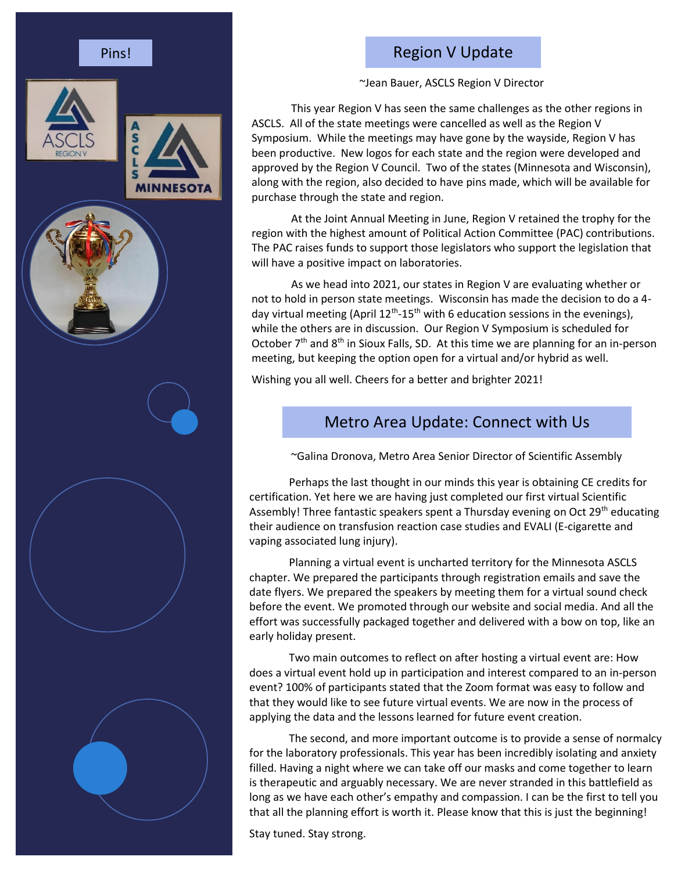







# Region V Update

~Jean Bauer, ASCLS Region V Director

This year Region V has seen the same challenges as the other regions in ASCLS. All of the state meetings were cancelled as well as the Region V Symposium. While the meetings may have gone by the wayside, Region V has been productive. New logos for each state and the region were developed and approved by the Region V Council. Two of the states (Minnesota and Wisconsin), along with the region, also decided to have pins made, which will be available for purchase through the state and region.

At the Joint Annual Meeting in June, Region V retained the trophy for the region with the highest amount of Political Action Committee (PAC) contributions. The PAC raises funds to support those legislators who support the legislation that will have a positive impact on laboratories.

As we head into 2021, our states in Region V are evaluating whether or not to hold in person state meetings. Wisconsin has made the decision to do a 4 day virtual meeting (April 12<sup>th</sup>-15<sup>th</sup> with 6 education sessions in the evenings), while the others are in discussion. Our Region V Symposium is scheduled for October  $7<sup>th</sup>$  and  $8<sup>th</sup>$  in Sioux Falls, SD. At this time we are planning for an in-person meeting, but keeping the option open for a virtual and/or hybrid as well.

Wishing you all well. Cheers for a better and brighter 2021!

# Metro Area Update: Connect with Us

~Galina Dronova, Metro Area Senior Director of Scientific Assembly

Perhaps the last thought in our minds this year is obtaining CE credits for certification. Yet here we are having just completed our first virtual Scientific Assembly! Three fantastic speakers spent a Thursday evening on Oct 29<sup>th</sup> educating their audience on transfusion reaction case studies and EVALI (E-cigarette and vaping associated lung injury).

Planning a virtual event is uncharted territory for the Minnesota ASCLS chapter. We prepared the participants through registration emails and save the date flyers. We prepared the speakers by meeting them for a virtual sound check before the event. We promoted through our website and social media. And all the effort was successfully packaged together and delivered with a bow on top, like an early holiday present.

Two main outcomes to reflect on after hosting a virtual event are: How does a virtual event hold up in participation and interest compared to an in-person event? 100% of participants stated that the Zoom format was easy to follow and that they would like to see future virtual events. We are now in the process of applying the data and the lessons learned for future event creation.

The second, and more important outcome is to provide a sense of normalcy for the laboratory professionals. This year has been incredibly isolating and anxiety filled. Having a night where we can take off our masks and come together to learn is therapeutic and arguably necessary. We are never stranded in this battlefield as long as we have each other's empathy and compassion. I can be the first to tell you that all the planning effort is worth it. Please know that this is just the beginning!

Stay tuned. Stay strong.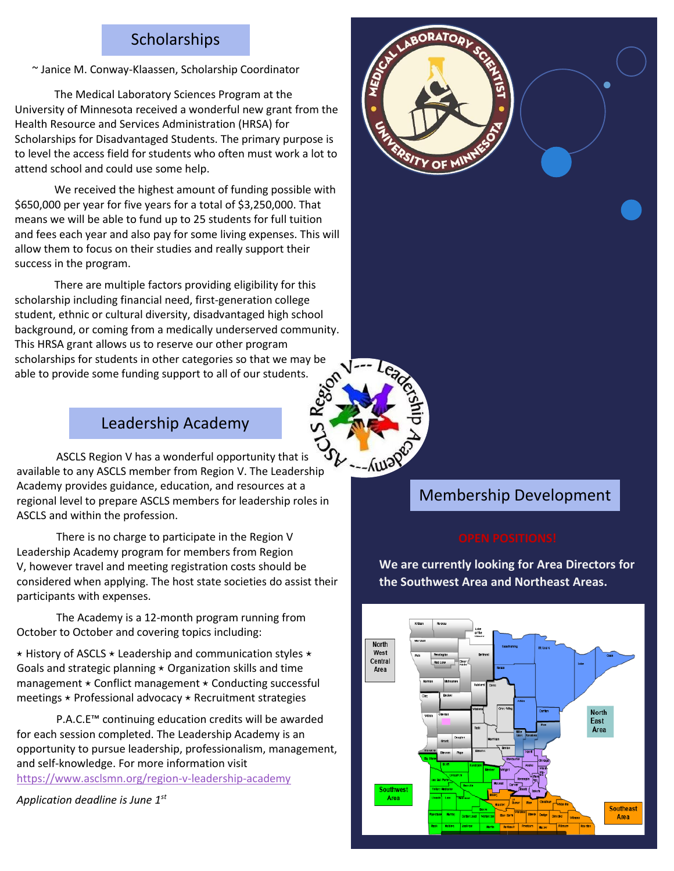# Scholarships

~ Janice M. Conway-Klaassen, Scholarship Coordinator

The Medical Laboratory Sciences Program at the University of Minnesota received a wonderful new grant from the Health Resource and Services Administration (HRSA) for Scholarships for Disadvantaged Students. The primary purpose is to level the access field for students who often must work a lot to attend school and could use some help.

We received the highest amount of funding possible with \$650,000 per year for five years for a total of \$3,250,000. That means we will be able to fund up to 25 students for full tuition and fees each year and also pay for some living expenses. This will allow them to focus on their studies and really support their success in the program.

There are multiple factors providing eligibility for this scholarship including financial need, first-generation college student, ethnic or cultural diversity, disadvantaged high school background, or coming from a medically underserved community. This HRSA grant allows us to reserve our other program scholarships for students in other categories so that we may be able to provide some funding support to all of our students.

# Leadership Academy

ASCLS Region V has a wonderful opportunity that is available to any ASCLS member from Region V. The Leadership Academy provides guidance, education, and resources at a regional level to prepare ASCLS members for leadership roles in ASCLS and within the profession.

There is no charge to participate in the Region V Leadership Academy program for members from Region V, however travel and meeting registration costs should be considered when applying. The host state societies do assist their participants with expenses.

The Academy is a 12-month program running from October to October and covering topics including:

 $\star$  History of ASCLS  $\star$  Leadership and communication styles  $\star$ Goals and strategic planning  $\star$  Organization skills and time management  $\star$  Conflict management  $\star$  Conducting successful meetings  $\star$  Professional advocacy  $\star$  Recruitment strategies

P.A.C.E™ continuing education credits will be awarded for each session completed. The Leadership Academy is an opportunity to pursue leadership, professionalism, management, and self-knowledge. For more information visit <https://www.asclsmn.org/region-v-leadership-academy>

*Application deadline is June 1st*





 $-M<sub>3</sub>$ 

**We are currently looking for Area Directors for the Southwest Area and Northeast Areas.**